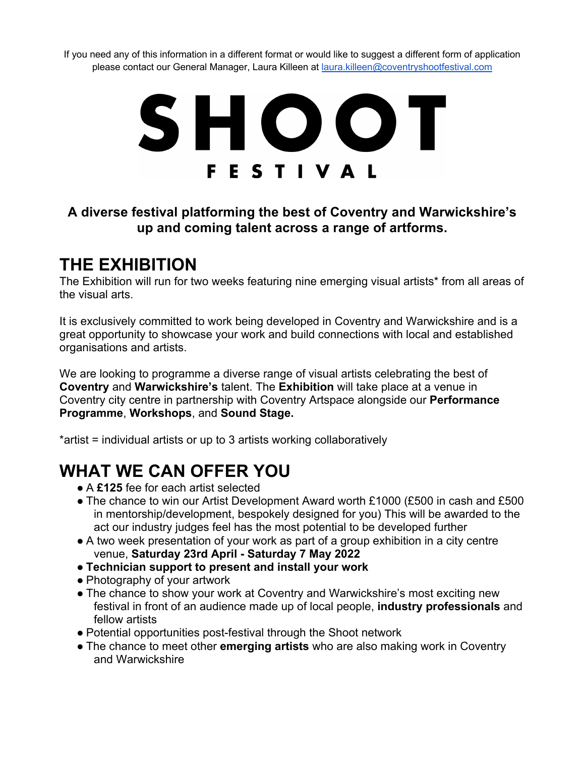If you need any of this information in a different format or would like to suggest a different form of application please contact our General Manager, Laura Killeen at laura.killeen@coventryshootfestival.com

# SHOOT **FESTIVAL**

### **A diverse festival platforming the best of Coventry and Warwickshire's up and coming talent across a range of artforms.**

## **THE EXHIBITION**

The Exhibition will run for two weeks featuring nine emerging visual artists\* from all areas of the visual arts.

It is exclusively committed to work being developed in Coventry and Warwickshire and is a great opportunity to showcase your work and build connections with local and established organisations and artists.

We are looking to programme a diverse range of visual artists celebrating the best of **Coventry** and **Warwickshire's** talent. The **Exhibition** will take place at a venue in Coventry city centre in partnership with Coventry Artspace alongside our **Performance Programme**, **Workshops**, and **Sound Stage.**

\*artist = individual artists or up to 3 artists working collaboratively

# **WHAT WE CAN OFFER YOU**

- A **£125** fee for each artist selected
- The chance to win our Artist Development Award worth £1000 (£500 in cash and £500 in mentorship/development, bespokely designed for you) This will be awarded to the act our industry judges feel has the most potential to be developed further
- A two week presentation of your work as part of a group exhibition in a city centre venue, **Saturday 23rd April - Saturday 7 May 2022**
- **Technician support to present and install your work**
- Photography of your artwork
- The chance to show your work at Coventry and Warwickshire's most exciting new festival in front of an audience made up of local people, **industry professionals** and fellow artists
- Potential opportunities post-festival through the Shoot network
- The chance to meet other **emerging artists** who are also making work in Coventry and Warwickshire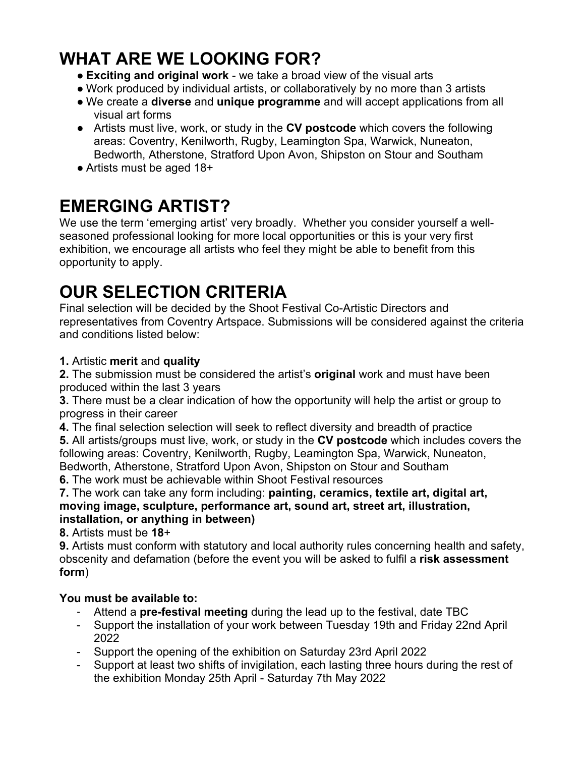# **WHAT ARE WE LOOKING FOR?**

- **Exciting and original work** we take a broad view of the visual arts
- Work produced by individual artists, or collaboratively by no more than 3 artists
- We create a **diverse** and **unique programme** and will accept applications from all visual art forms
- Artists must live, work, or study in the **CV postcode** which covers the following areas: Coventry, Kenilworth, Rugby, Leamington Spa, Warwick, Nuneaton, Bedworth, Atherstone, Stratford Upon Avon, Shipston on Stour and Southam
- Artists must be aged 18+

# **EMERGING ARTIST?**

We use the term 'emerging artist' very broadly. Whether you consider yourself a wellseasoned professional looking for more local opportunities or this is your very first exhibition, we encourage all artists who feel they might be able to benefit from this opportunity to apply.

# **OUR SELECTION CRITERIA**

Final selection will be decided by the Shoot Festival Co-Artistic Directors and representatives from Coventry Artspace. Submissions will be considered against the criteria and conditions listed below:

#### **1.** Artistic **merit** and **quality**

**2.** The submission must be considered the artist's **original** work and must have been produced within the last 3 years

**3.** There must be a clear indication of how the opportunity will help the artist or group to progress in their career

**4.** The final selection selection will seek to reflect diversity and breadth of practice

**5.** All artists/groups must live, work, or study in the **CV postcode** which includes covers the following areas: Coventry, Kenilworth, Rugby, Leamington Spa, Warwick, Nuneaton, Bedworth, Atherstone, Stratford Upon Avon, Shipston on Stour and Southam

**6.** The work must be achievable within Shoot Festival resources

**7.** The work can take any form including: **painting, ceramics, textile art, digital art, moving image, sculpture, performance art, sound art, street art, illustration, installation, or anything in between)**

**8.** Artists must be **18**+

**9.** Artists must conform with statutory and local authority rules concerning health and safety, obscenity and defamation (before the event you will be asked to fulfil a **risk assessment form**)

### **You must be available to:**

- Attend a **pre-festival meeting** during the lead up to the festival, date TBC
- Support the installation of your work between Tuesday 19th and Friday 22nd April 2022
- Support the opening of the exhibition on Saturday 23rd April 2022
- Support at least two shifts of invigilation, each lasting three hours during the rest of the exhibition Monday 25th April - Saturday 7th May 2022